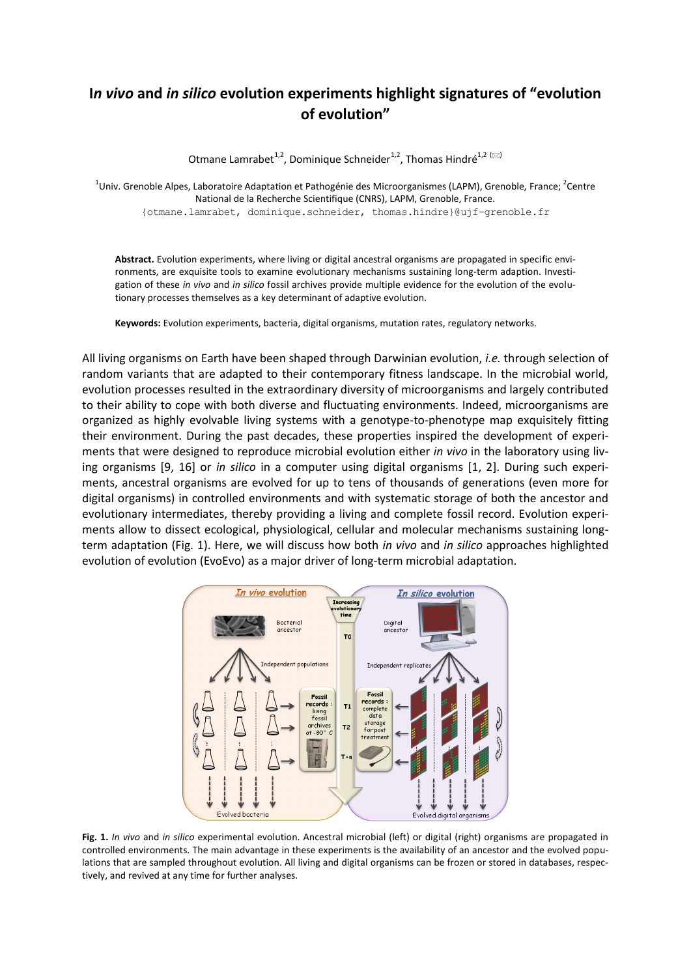# **I***n vivo* **and** *in silico* **evolution experiments highlight signatures of "evolution of evolution"**

Otmane Lamrabet<sup>1,2</sup>, Dominique Schneider<sup>1,2</sup>. Thomas Hindré<sup>1,2 ( $\boxtimes$ )</sup>

<sup>1</sup>Univ. Grenoble Alpes, Laboratoire Adaptation et Pathogénie des Microorganismes (LAPM), Grenoble, France; <sup>2</sup>Centre National de la Recherche Scientifique (CNRS), LAPM, Grenoble, France. {otmane.lamrabet, dominique.schneider, thomas.hindre}@ujf-grenoble.fr

**Abstract.** Evolution experiments, where living or digital ancestral organisms are propagated in specific environments, are exquisite tools to examine evolutionary mechanisms sustaining long-term adaption. Investigation of these *in vivo* and *in silico* fossil archives provide multiple evidence for the evolution of the evolutionary processes themselves as a key determinant of adaptive evolution.

**Keywords:** Evolution experiments, bacteria, digital organisms, mutation rates, regulatory networks.

All living organisms on Earth have been shaped through Darwinian evolution, *i.e.* through selection of random variants that are adapted to their contemporary fitness landscape. In the microbial world, evolution processes resulted in the extraordinary diversity of microorganisms and largely contributed to their ability to cope with both diverse and fluctuating environments. Indeed, microorganisms are organized as highly evolvable living systems with a genotype-to-phenotype map exquisitely fitting their environment. During the past decades, these properties inspired the development of experiments that were designed to reproduce microbial evolution either *in vivo* in the laboratory using living organisms [9, 16] or *in silico* in a computer using digital organisms [1, 2]. During such experiments, ancestral organisms are evolved for up to tens of thousands of generations (even more for digital organisms) in controlled environments and with systematic storage of both the ancestor and evolutionary intermediates, thereby providing a living and complete fossil record. Evolution experiments allow to dissect ecological, physiological, cellular and molecular mechanisms sustaining longterm adaptation (Fig. 1). Here, we will discuss how both *in vivo* and *in silico* approaches highlighted evolution of evolution (EvoEvo) as a major driver of long-term microbial adaptation.



**Fig. 1.** *In vivo* and *in silico* experimental evolution. Ancestral microbial (left) or digital (right) organisms are propagated in controlled environments. The main advantage in these experiments is the availability of an ancestor and the evolved populations that are sampled throughout evolution. All living and digital organisms can be frozen or stored in databases, respectively, and revived at any time for further analyses.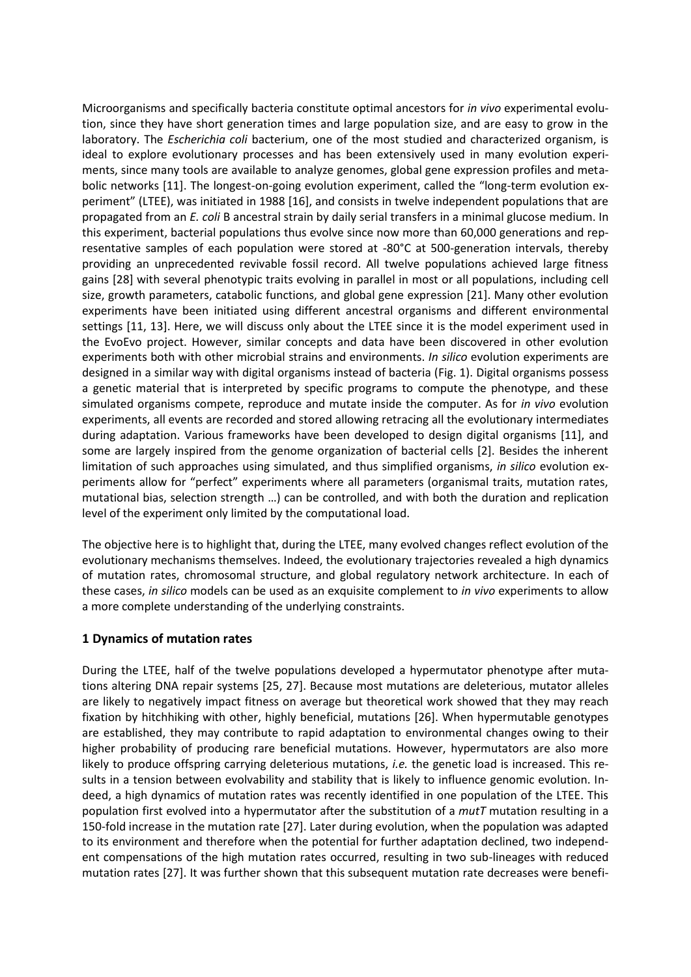Microorganisms and specifically bacteria constitute optimal ancestors for *in vivo* experimental evolution, since they have short generation times and large population size, and are easy to grow in the laboratory. The *Escherichia coli* bacterium, one of the most studied and characterized organism, is ideal to explore evolutionary processes and has been extensively used in many evolution experiments, since many tools are available to analyze genomes, global gene expression profiles and metabolic networks [11]. The longest-on-going evolution experiment, called the "long-term evolution experiment" (LTEE), was initiated in 1988 [16], and consists in twelve independent populations that are propagated from an *E. coli* B ancestral strain by daily serial transfers in a minimal glucose medium. In this experiment, bacterial populations thus evolve since now more than 60,000 generations and representative samples of each population were stored at -80°C at 500-generation intervals, thereby providing an unprecedented revivable fossil record. All twelve populations achieved large fitness gains [28] with several phenotypic traits evolving in parallel in most or all populations, including cell size, growth parameters, catabolic functions, and global gene expression [21]. Many other evolution experiments have been initiated using different ancestral organisms and different environmental settings [11, 13]. Here, we will discuss only about the LTEE since it is the model experiment used in the EvoEvo project. However, similar concepts and data have been discovered in other evolution experiments both with other microbial strains and environments. *In silico* evolution experiments are designed in a similar way with digital organisms instead of bacteria [\(Fig. 1\)](http://www.nature.com.gate1.inist.fr/nrmicro/journal/v10/n5/full/nrmicro2750.html#f1). Digital organisms possess a genetic material that is interpreted by specific programs to compute the phenotype, and these simulated organisms compete, reproduce and mutate inside the computer. As for *in vivo* evolution experiments, all events are recorded and stored allowing retracing all the evolutionary intermediates during adaptation. Various frameworks have been developed to design digital organisms [11], and some are largely inspired from the genome organization of bacterial cells [2]. Besides the inherent limitation of such approaches using simulated, and thus simplified organisms, *in silico* evolution experiments allow for "perfect" experiments where all parameters (organismal traits, mutation rates, mutational bias, selection strength …) can be controlled, and with both the duration and replication level of the experiment only limited by the computational load.

The objective here is to highlight that, during the LTEE, many evolved changes reflect evolution of the evolutionary mechanisms themselves. Indeed, the evolutionary trajectories revealed a high dynamics of mutation rates, chromosomal structure, and global regulatory network architecture. In each of these cases, *in silico* models can be used as an exquisite complement to *in vivo* experiments to allow a more complete understanding of the underlying constraints.

#### **1 Dynamics of mutation rates**

During the LTEE, half of the twelve populations developed a hypermutator phenotype after mutations altering DNA repair systems [25, 27]. Because most mutations are deleterious, mutator alleles are likely to negatively impact fitness on average but theoretical work showed that they may reach fixation by hitchhiking with other, highly beneficial, mutations [26]. When hypermutable genotypes are established, they may contribute to rapid adaptation to environmental changes owing to their higher probability of producing rare beneficial mutations. However, hypermutators are also more likely to produce offspring carrying deleterious mutations, *i.e.* the genetic load is increased. This results in a tension between evolvability and stability that is likely to influence genomic evolution. Indeed, a high dynamics of mutation rates was recently identified in one population of the LTEE. This population first evolved into a hypermutator after the substitution of a *mutT* mutation resulting in a 150-fold increase in the mutation rate [27]. Later during evolution, when the population was adapted to its environment and therefore when the potential for further adaptation declined, two independent compensations of the high mutation rates occurred, resulting in two sub-lineages with reduced mutation rates [27]. It was further shown that this subsequent mutation rate decreases were benefi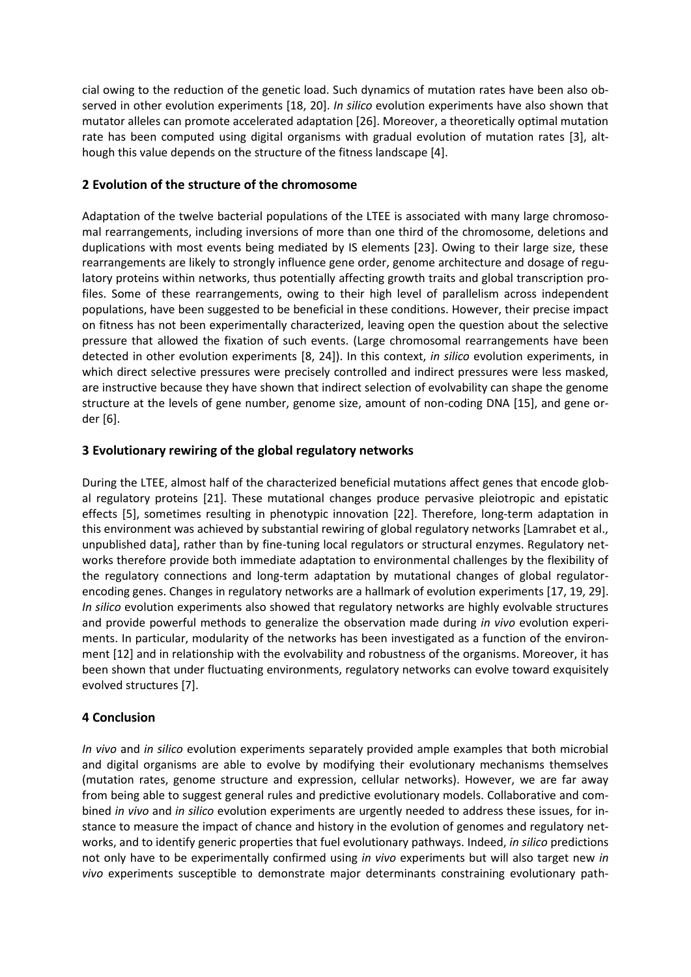cial owing to the reduction of the genetic load. Such dynamics of mutation rates have been also observed in other evolution experiments [18, 20]. *In silico* evolution experiments have also shown that mutator alleles can promote accelerated adaptation [26]. Moreover, a theoretically optimal mutation rate has been computed using digital organisms with gradual evolution of mutation rates [3], although this value depends on the structure of the fitness landscape [4].

### **2 Evolution of the structure of the chromosome**

Adaptation of the twelve bacterial populations of the LTEE is associated with many large chromosomal rearrangements, including inversions of more than one third of the chromosome, deletions and duplications with most events being mediated by IS elements [23]. Owing to their large size, these rearrangements are likely to strongly influence gene order, genome architecture and dosage of regulatory proteins within networks, thus potentially affecting growth traits and global transcription profiles. Some of these rearrangements, owing to their high level of parallelism across independent populations, have been suggested to be beneficial in these conditions. However, their precise impact on fitness has not been experimentally characterized, leaving open the question about the selective pressure that allowed the fixation of such events. (Large chromosomal rearrangements have been detected in other evolution experiments [8, 24]). In this context, *in silico* evolution experiments, in which direct selective pressures were precisely controlled and indirect pressures were less masked, are instructive because they have shown that indirect selection of evolvability can shape the genome structure at the levels of gene number, genome size, amount of non-coding DNA [15], and gene order [6].

### **3 Evolutionary rewiring of the global regulatory networks**

During the LTEE, almost half of the characterized beneficial mutations affect genes that encode global regulatory proteins [21]. These mutational changes produce pervasive pleiotropic and epistatic effects [5], sometimes resulting in phenotypic innovation [22]. Therefore, long-term adaptation in this environment was achieved by substantial rewiring of global regulatory networks [Lamrabet et al., unpublished data], rather than by fine-tuning local regulators or structural enzymes. Regulatory networks therefore provide both immediate adaptation to environmental challenges by the flexibility of the regulatory connections and long-term adaptation by mutational changes of global regulatorencoding genes. Changes in regulatory networks are a hallmark of evolution experiments [17, 19, 29]. *In silico* evolution experiments also showed that regulatory networks are highly evolvable structures and provide powerful methods to generalize the observation made during *in vivo* evolution experiments. In particular, modularity of the networks has been investigated as a function of the environment [12] and in relationship with the evolvability and robustness of the organisms. Moreover, it has been shown that under fluctuating environments, regulatory networks can evolve toward exquisitely evolved structures [7].

## **4 Conclusion**

*In vivo* and *in silico* evolution experiments separately provided ample examples that both microbial and digital organisms are able to evolve by modifying their evolutionary mechanisms themselves (mutation rates, genome structure and expression, cellular networks). However, we are far away from being able to suggest general rules and predictive evolutionary models. Collaborative and combined *in vivo* and *in silico* evolution experiments are urgently needed to address these issues, for instance to measure the impact of chance and history in the evolution of genomes and regulatory networks, and to identify generic properties that fuel evolutionary pathways. Indeed, *in silico* predictions not only have to be experimentally confirmed using *in vivo* experiments but will also target new *in vivo* experiments susceptible to demonstrate major determinants constraining evolutionary path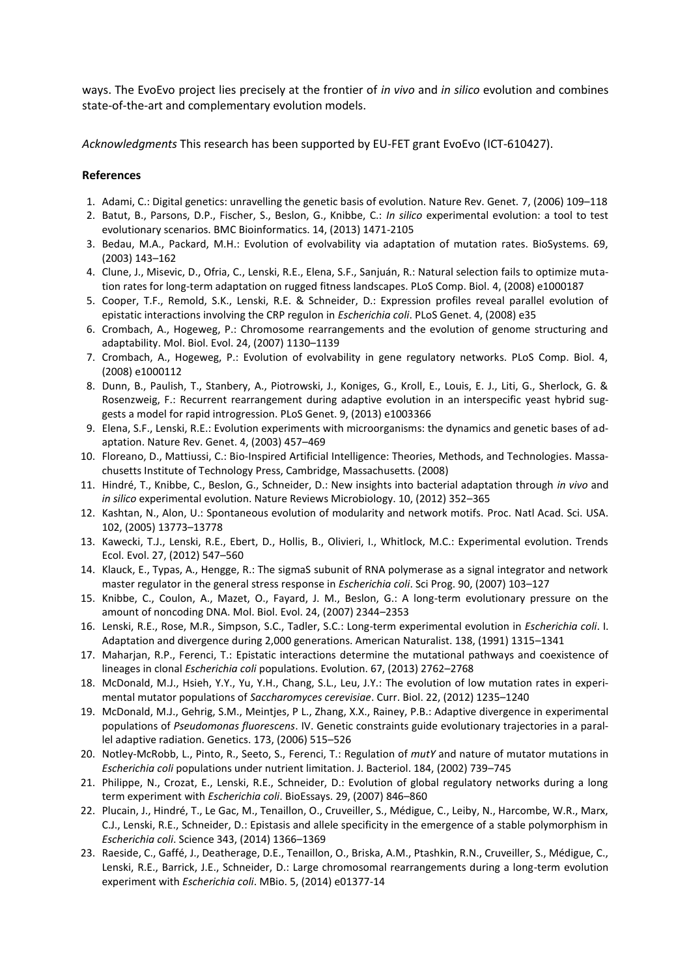ways. The EvoEvo project lies precisely at the frontier of *in vivo* and *in silico* evolution and combines state-of-the-art and complementary evolution models.

*Acknowledgments* This research has been supported by EU-FET grant EvoEvo (ICT-610427).

#### **References**

- 1. Adami, C.: Digital genetics: unravelling the genetic basis of evolution. Nature Rev. Genet. 7, (2006) 109–118
- 2. Batut, B., Parsons, D.P., Fischer, S., Beslon, G., Knibbe, C.: *In silico* experimental evolution: a tool to test evolutionary scenarios. BMC Bioinformatics. 14, (2013) 1471-2105
- 3. Bedau, M.A., Packard, M.H.: Evolution of evolvability via adaptation of mutation rates. BioSystems. 69, (2003) 143–162
- 4. Clune, J., Misevic, D., Ofria, C., Lenski, R.E., Elena, S.F., Sanjuán, R.: Natural selection fails to optimize mutation rates for long-term adaptation on rugged fitness landscapes. PLoS Comp. Biol. 4, (2008) e1000187
- 5. Cooper, T.F., Remold, S.K., Lenski, R.E. & Schneider, D.: Expression profiles reveal parallel evolution of epistatic interactions involving the CRP regulon in *Escherichia coli*. PLoS Genet. 4, (2008) e35
- 6. Crombach, A., Hogeweg, P.: Chromosome rearrangements and the evolution of genome structuring and adaptability. Mol. Biol. Evol. 24, (2007) 1130–1139
- 7. Crombach, A., Hogeweg, P.: Evolution of evolvability in gene regulatory networks. PLoS Comp. Biol. 4, (2008) e1000112
- 8. Dunn, B., Paulish, T., Stanbery, A., Piotrowski, J., Koniges, G., Kroll, E., Louis, E. J., Liti, G., Sherlock, G. & Rosenzweig, F.: [Recurrent rearrangement](http://www.ncbi.nlm.nih.gov/pubmed/23555283) during adaptive evolution in an interspecific yeast hybrid sug[gests a model for rapid introgression.](http://www.ncbi.nlm.nih.gov/pubmed/23555283) PLoS Genet. 9, (2013) e1003366
- 9. Elena, S.F., Lenski, R.E.: Evolution experiments with microorganisms: the dynamics and genetic bases of adaptation. Nature Rev. Genet. 4, (2003) 457–469
- 10. Floreano, D., Mattiussi, C.: Bio-Inspired Artificial Intelligence: Theories, Methods, and Technologies. Massachusetts Institute of Technology Press, Cambridge, Massachusetts. (2008)
- 11. Hindré, T., Knibbe, C., Beslon, G., Schneider, D.: New insights into bacterial adaptation through *in vivo* and *in silico* experimental evolution. Nature Reviews Microbiology. 10, (2012) 352–365
- 12. Kashtan, N., Alon, U.: Spontaneous evolution of modularity and network motifs. Proc. Natl Acad. Sci. USA. 102, (2005) 13773–13778
- 13. Kawecki, T.J., Lenski, R.E., Ebert, D., Hollis, B., Olivieri, I., Whitlock, M.C.: Experimental evolution. Trends Ecol. Evol. 27, (2012) 547–560
- 14. Klauck, E., Typas, A., Hengge, R.: The sigmaS subunit of RNA polymerase as a signal integrator and network master regulator in the general stress response in *Escherichia coli*. Sci Prog. 90, (2007) 103–127
- 15. Knibbe, C., Coulon, A., Mazet, O., Fayard, J. M., Beslon, G.: A long-term evolutionary pressure on the amount of noncoding DNA. Mol. Biol. Evol. 24, (2007) 2344–2353
- 16. Lenski, R.E., Rose, M.R., Simpson, S.C., Tadler, S.C.: Long-term experimental evolution in *Escherichia coli*. I. Adaptation and divergence during 2,000 generations. American Naturalist. 138, (1991) 1315–1341
- 17. Maharjan, R.P., Ferenci, T.: Epistatic interactions determine the mutational pathways and coexistence of lineages in clonal *Escherichia coli* populations. Evolution. 67, (2013) 2762–2768
- 18. McDonald, M.J., Hsieh, Y.Y., Yu, Y.H., Chang, S.L., Leu, J.Y.: The evolution of low mutation rates in experimental mutator populations of *Saccharomyces cerevisiae*. Curr. Biol. 22, (2012) 1235–1240
- 19. McDonald, M.J., Gehrig, S.M., Meintjes, P L., Zhang, X.X., Rainey, P.B.: Adaptive divergence in experimental populations of *Pseudomonas fluorescens*. IV. Genetic constraints guide evolutionary trajectories in a parallel adaptive radiation. Genetics. 173, (2006) 515–526
- 20. Notley-McRobb, L., Pinto, R., Seeto, S., Ferenci, T.: Regulation of *mutY* and nature of mutator mutations in *Escherichia coli* populations under nutrient limitation. J. Bacteriol. 184, (2002) 739–745
- 21. Philippe, N., Crozat, E., Lenski, R.E., Schneider, D.: Evolution of global regulatory networks during a long term experiment with *Escherichia coli*. BioEssays. 29, (2007) 846–860
- 22. Plucain, J., Hindré, T., Le Gac, M., Tenaillon, O., Cruveiller, S., Médigue, C., Leiby, N., Harcombe, W.R., Marx, C.J., Lenski, R.E., Schneider, D.: Epistasis and allele specificity in the emergence of a stable polymorphism in *Escherichia coli*. Science 343, (2014) 1366–1369
- 23. Raeside, C., Gaffé, J., Deatherage, D.E., Tenaillon, O., Briska, A.M., Ptashkin, R.N., Cruveiller, S., Médigue, C., Lenski, R.E., Barrick, J.E., Schneider, D.: Large chromosomal rearrangements during a long-term evolution experiment with *Escherichia coli*. MBio. 5, (2014) e01377-14